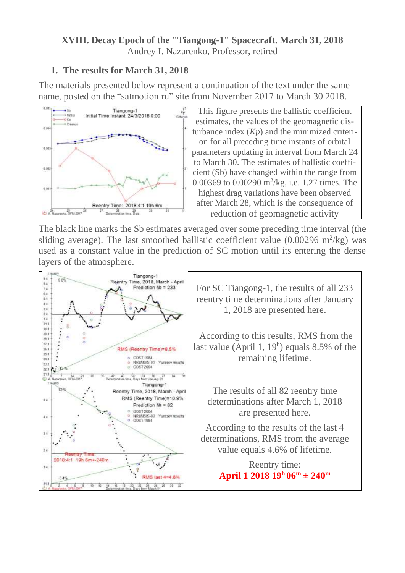#### **XVIII. Decay Epoch of the "Tiangong-1" Spacecraft. March 31, 2018** Andrey I. Nazarenko, Professor, retired

# **1. The results for March 31, 2018**

The materials presented below represent a continuation of the text under the same name, posted on the "satmotion.ru" site from November 2017 to March 30 2018.



The black line marks the Sb estimates averaged over some preceding time interval (the sliding average). The last smoothed ballistic coefficient value  $(0.00296 \text{ m}^2/\text{kg})$  was used as a constant value in the prediction of SC motion until its entering the dense layers of the atmosphere.